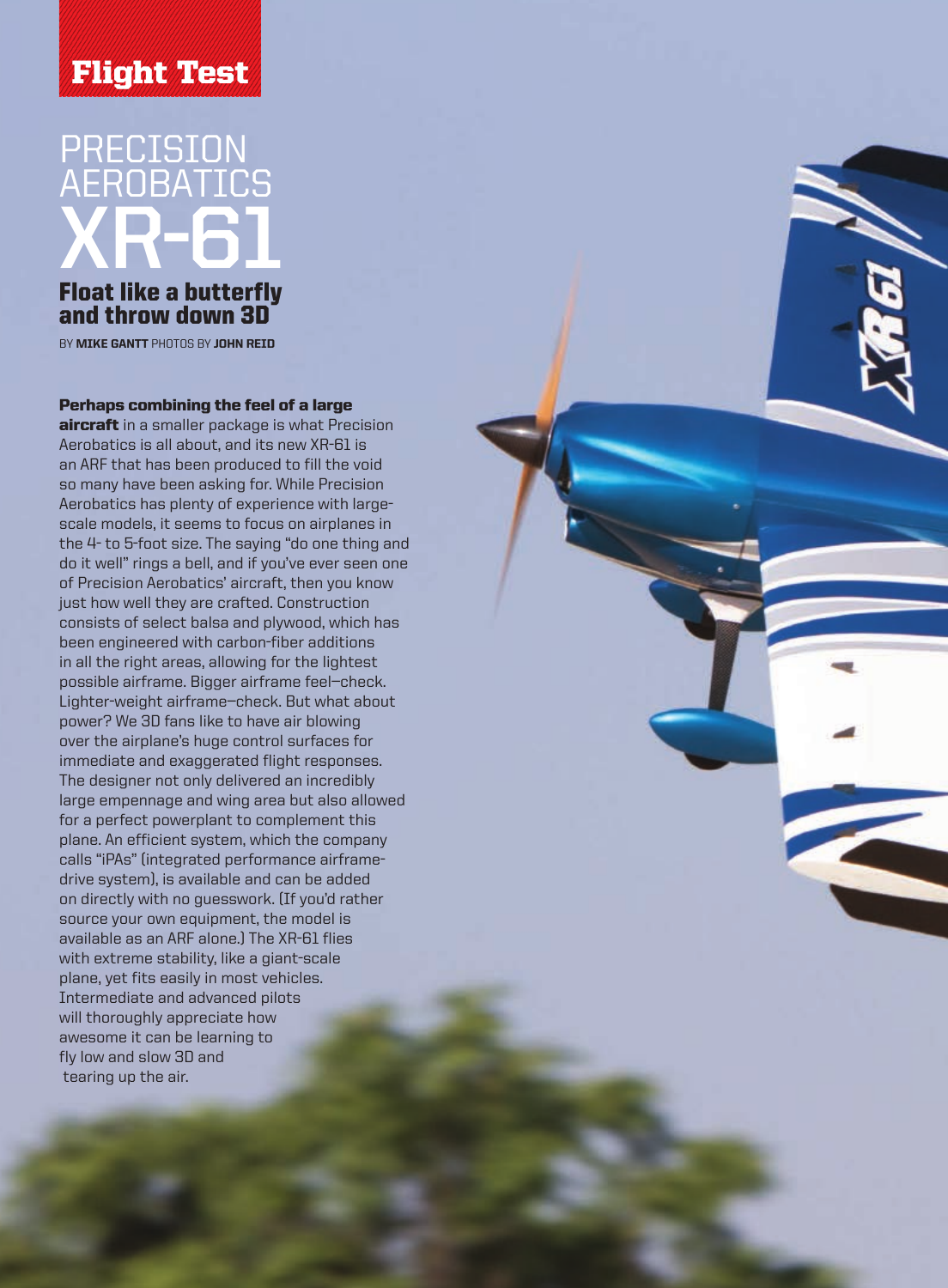# Flight Test

# PRECISION AEROB ATICS **XR-61**

## Float like a butterfly and throw down 3D

BY **MIKE GANTT** PHOTOS BY JOHN REID

#### Perhaps combining the feel of a large

aircraft in a smaller package is what Precision Aerobatics is all about, and its new X R-61 is an A RF that has been produced to fill the void so many have been asking for. While Precision Aerobatics has plenty of experience with largescale models, it seems to focus on airplanes in the 4- to 5-foot size. The saying "do one thing and do it well" rings a bell, and if you've ever seen one of Precision Aerobatics' aircraft, then you know just how well they are crafted. Construction consists of select balsa and plywood, which has been engineered with carbon-fiber additions in all the right areas, allowing for the lightest possible airframe. Bigger airframe feel—check. Lighter-weight airframe—check. But what about power? We 3D fans like to have air blowing over the airplane's huge control surfaces for immediate and exaggerated flight responses. The designer not only delivered an incredibly large empennage and wing area but also allowed for a perfect powerplant to complement this plane. An efficient system, which the company calls "iPAs" (integrated performance airframedrive system), is available and can be added on directly with no guesswork. ( If you'd rather source your own equipment, the model is available as an A RF alone.) The X R-61 flies with extreme stability, like a giant-scale plane, yet fits easily in most vehicles. Intermediate and advanced pilots will thoroughly appreciate how awesome it can be learning to fly low and slow 3D and tearing up the air.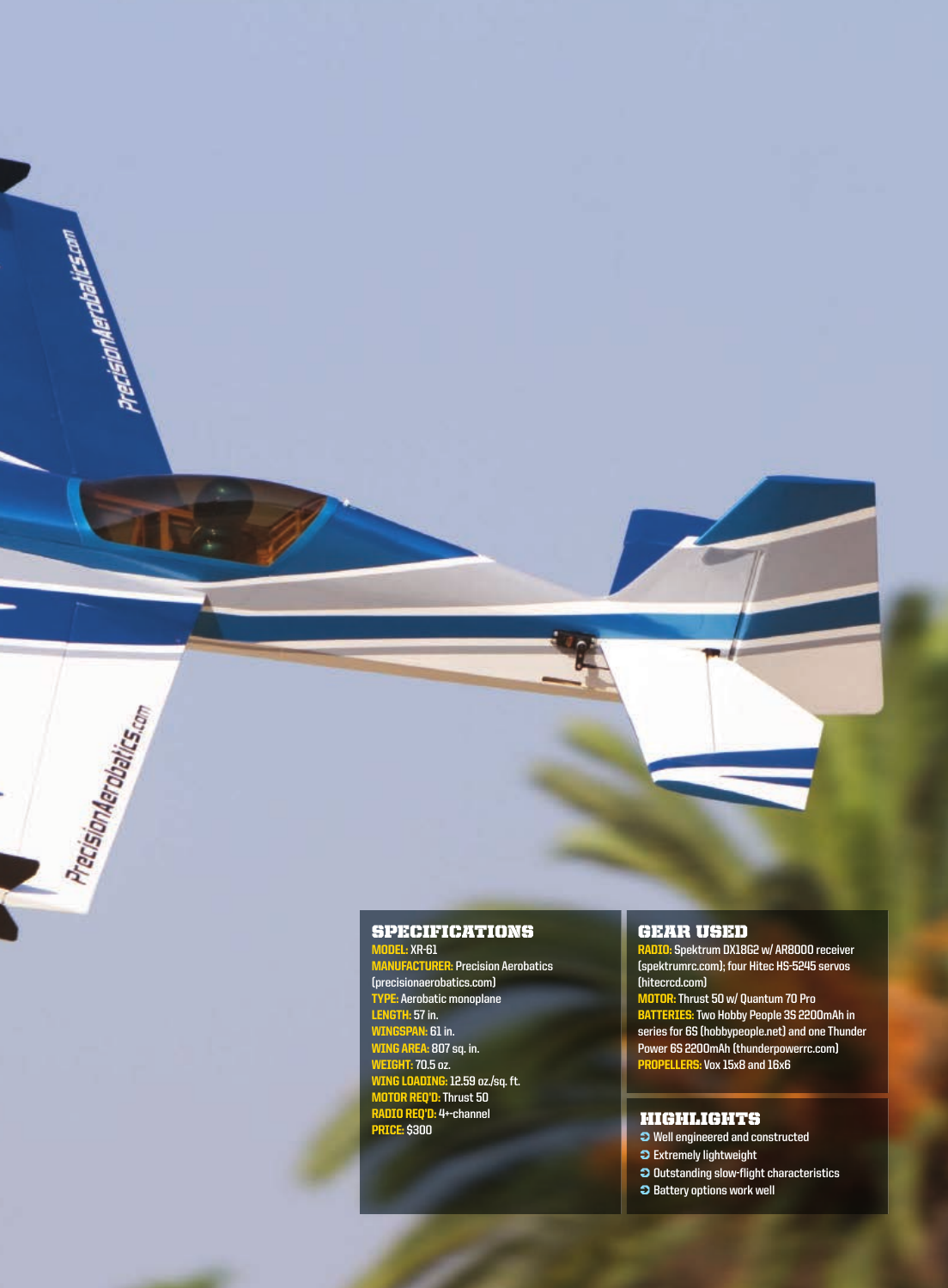#### SPECIFICATIONS MODEL: **XR-61**

ecisionAerobaltes.com

PrecisionAerobalics.com

r.

MANUFACTURER: **Precision Aerobatics (precisionaerobatics.com)** TYPE: **Aerobatic monoplane** LENGTH: **57 in.** WINGSPAN: **61 in.** WING AREA: **807 sq. in.**  WEIGHT: **70.5 oz.** WING LOADING: **12.59 oz./sq. ft.** MOTOR REQ'D: **Thrust 50**  RADIO REQ'D: **4+-channel**  PRICE: **\$300** 

#### GEAR USED

RADIO: **Spektrum DX18G2 w/ AR8000 receiver (spektrumrc.com); four Hitec HS-5245 servos (hitecrcd.com)** MOTOR: **Thrust 50 w/ Quantum 70 Pro** BATTERIES: **Two Hobby People 3S 2200mAh in series for 6S (hobbypeople.net) and one Thunder Power 6S 2200mAh (thunderpowerrc.com)**  PROPELLERS: **Vox 15x8 and 16x6** 

### HIGHLIGHTS

 **Well engineered and constructed Extremely lightweight Outstanding slow-flight characteristics**

**Battery options work well**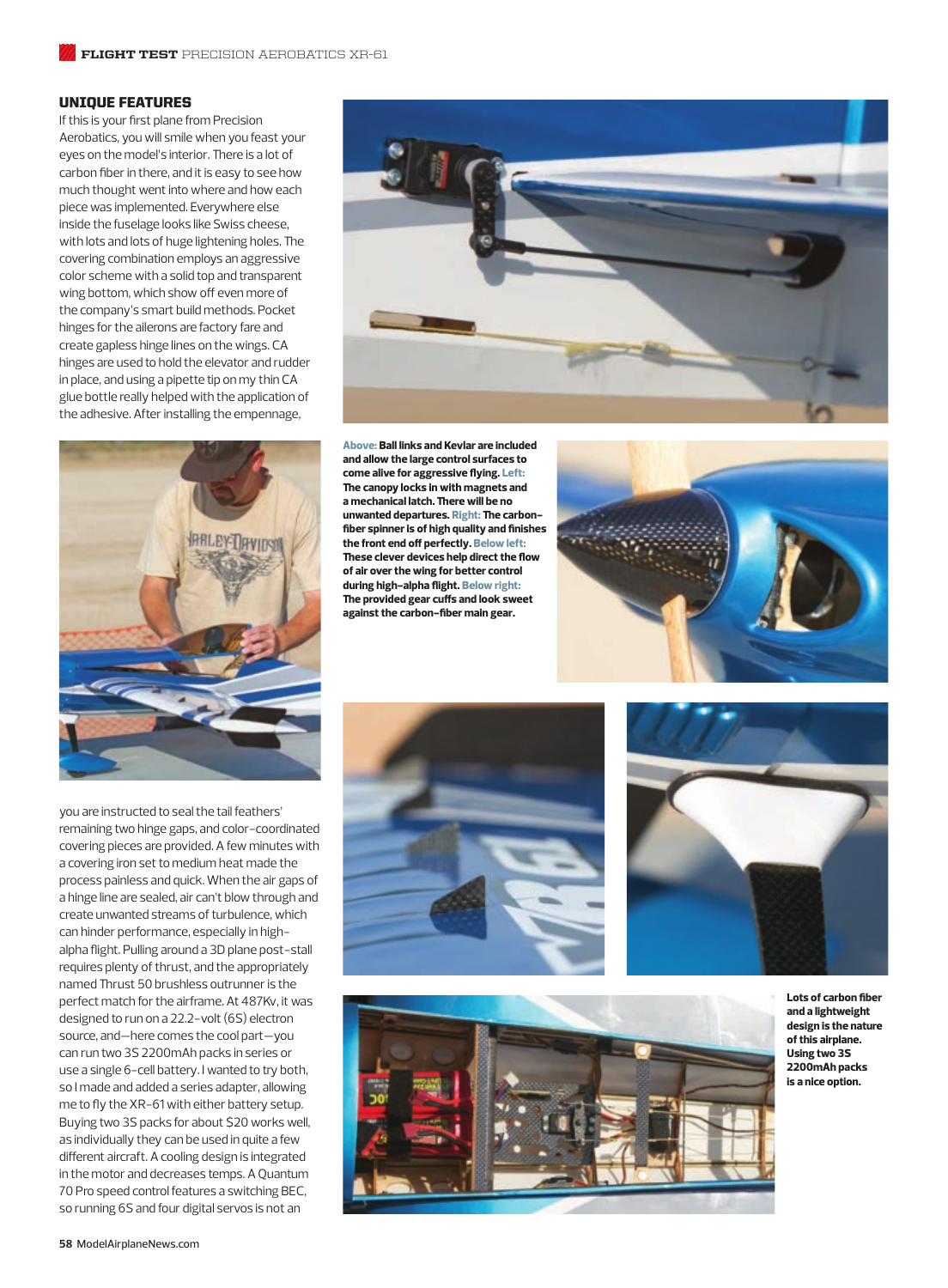#### UNIQUE FEATURES

If this is your first plane from Precision Aerobatics, you will smile when you feast your eyes on the model's interior. There is a lot of carbon fiber in there, and it is easy to see how much thought went into where and how each piece was implemented. Everywhere else inside the fuselage looks like Swiss cheese, with lots and lots of huge lightening holes. The covering combination employs an aggressive color scheme with a solid top and transparent wing bottom, which show off even more of the company's smart build methods. Pocket hinges for the ailerons are factory fare and create gapless hinge lines on the wings. CA hinges are used to hold the elevator and rudder in place, and using a pipette tip on my thin CA glue bottle really helped with the application of the adhesive. After installing the empennage,



you are instructed to seal the tail feathers' remaining two hinge gaps, and color-coordinated covering pieces are provided. A few minutes with a covering iron set to medium heat made the process painless and quick. When the air gaps of a hinge line are sealed, air can't blow through and create unwanted streams of turbulence, which can hinder performance, especially in highalpha flight. Pulling around a 3D plane post-stall requires plenty of thrust, and the appropriately named Thrust 50 brushless outrunner is the perfect match for the airframe. At 487Kv, it was designed to run on a 22.2-volt (6S) electron source, and—here comes the cool part—you can run two 3S 2200mAh packs in series or use a single 6-cell battery. I wanted to try both, so I made and added a series adapter, allowing me to fly the XR-61 with either battery setup. Buying two 3S packs for about \$20 works well, as individually they can be used in quite a few different aircraft. A cooling design is integrated in the motor and decreases temps. A Quantum 70 Pro speed control features a switching BEC, so running 6S and four digital servos is not an



**Above: Ball links and Kevlar are included and allow the large control surfaces to come alive for aggressive flying. Left: -e canopy locks in with magnets and a mechanical latch. -ere will be no**  unwanted departures. Right: The carbon– **fiber spinner is of high quality and finishes the front end off perfectly. Below left: -ese clever devices help direct the flow of air over the wing for better control during high-alpha flight. Below right: -e provided gear cuffs and look sweet against the carbon-fiber main gear.**









**Lots of carbon fiber and a lightweight design is the nature of this airplane. Using two 3S 2200mAh packs is a nice option.**